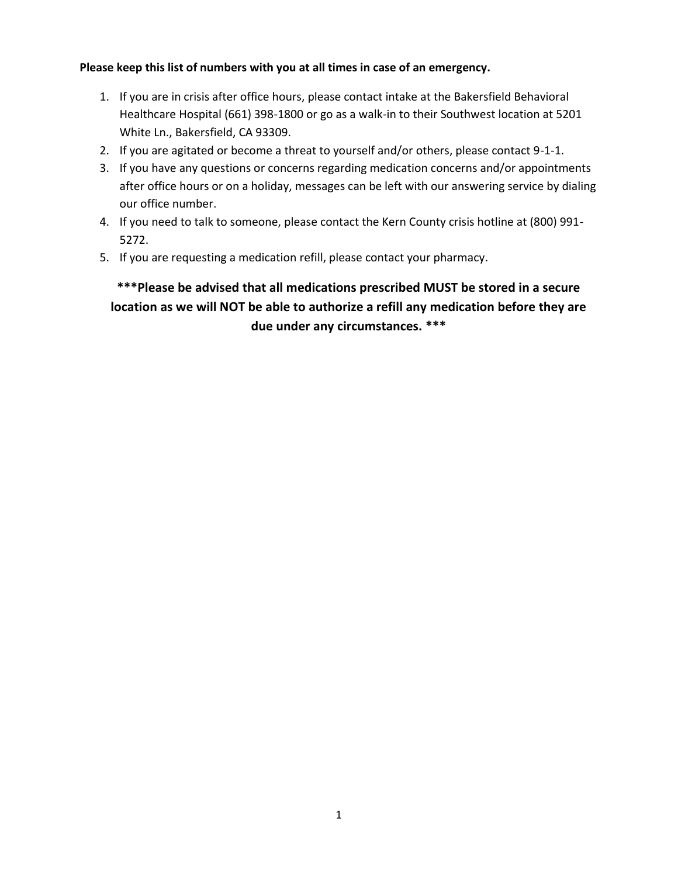#### **Please keep this list of numbers with you at all times in case of an emergency.**

- 1. If you are in crisis after office hours, please contact intake at the Bakersfield Behavioral Healthcare Hospital (661) 398-1800 or go as a walk-in to their Southwest location at 5201 White Ln., Bakersfield, CA 93309.
- 2. If you are agitated or become a threat to yourself and/or others, please contact 9-1-1.
- 3. If you have any questions or concerns regarding medication concerns and/or appointments after office hours or on a holiday, messages can be left with our answering service by dialing our office number.
- 4. If you need to talk to someone, please contact the Kern County crisis hotline at (800) 991- 5272.
- 5. If you are requesting a medication refill, please contact your pharmacy.

## **\*\*\*Please be advised that all medications prescribed MUST be stored in a secure location as we will NOT be able to authorize a refill any medication before they are due under any circumstances. \*\*\***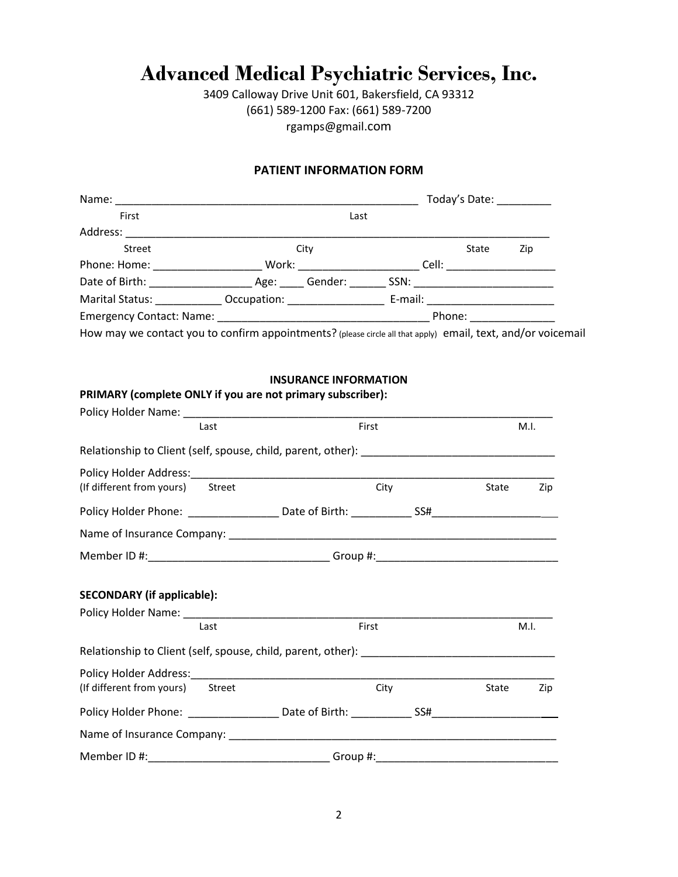## **Advanced Medical Psychiatric Services, Inc.**

3409 Calloway Drive Unit 601, Bakersfield, CA 93312 (661) 589-1200 Fax: (661) 589-7200 rgamps@gmail.com

#### **PATIENT INFORMATION FORM**

| Today's Date:                  |  |                                                                                                                                                                                                                                                |                       |       |                                                                            |
|--------------------------------|--|------------------------------------------------------------------------------------------------------------------------------------------------------------------------------------------------------------------------------------------------|-----------------------|-------|----------------------------------------------------------------------------|
| Last                           |  |                                                                                                                                                                                                                                                |                       |       |                                                                            |
|                                |  |                                                                                                                                                                                                                                                |                       |       |                                                                            |
|                                |  |                                                                                                                                                                                                                                                |                       | State | Zip                                                                        |
|                                |  |                                                                                                                                                                                                                                                | Cell:                 |       |                                                                            |
| Date of Birth: _______________ |  |                                                                                                                                                                                                                                                |                       |       |                                                                            |
|                                |  |                                                                                                                                                                                                                                                |                       |       |                                                                            |
|                                |  |                                                                                                                                                                                                                                                |                       |       |                                                                            |
|                                |  | City<br>Work: when the control of the control of the control of the control of the control of the control of the control of the control of the control of the control of the control of the control of the control of the control of t<br>Age: | Gender: <b>Sender</b> |       | SSN: __________________________<br>E-mail: _____________________<br>Phone: |

How may we contact you to confirm appointments? (please circle all that apply) email, text, and/or voicemail

#### **INSURANCE INFORMATION**

| PRIMARY (complete ONLY if you are not primary subscriber):                        |       |      |       |      |
|-----------------------------------------------------------------------------------|-------|------|-------|------|
| Last                                                                              | First |      |       | M.I. |
|                                                                                   |       |      |       |      |
| (If different from yours) Street                                                  |       | City | State | Zip  |
|                                                                                   |       |      |       |      |
|                                                                                   |       |      |       |      |
| Member ID #:__________________________________Group #:___________________________ |       |      |       |      |
| <b>SECONDARY (if applicable):</b>                                                 |       |      |       |      |
| Last                                                                              | First |      |       | M.I. |
|                                                                                   |       |      |       |      |
| (If different from yours) Street                                                  |       | City | State | Zip  |
|                                                                                   |       |      |       |      |
|                                                                                   |       |      |       |      |
| Member ID #:__________________________________Group #:__________________________  |       |      |       |      |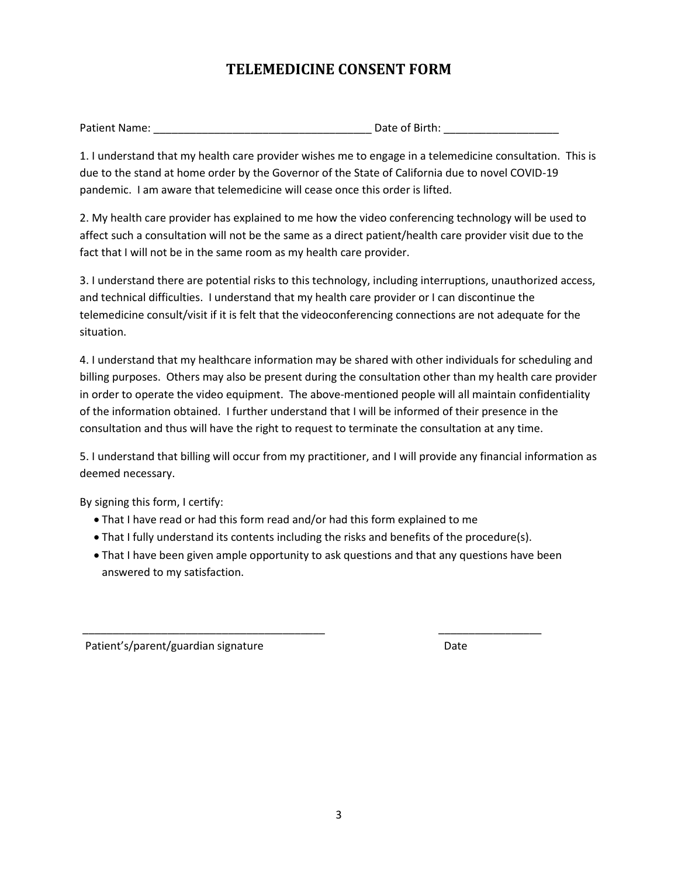## **TELEMEDICINE CONSENT FORM**

| <b>Patient Name:</b> | Date of Birth: |
|----------------------|----------------|
|                      |                |

1. I understand that my health care provider wishes me to engage in a telemedicine consultation. This is due to the stand at home order by the Governor of the State of California due to novel COVID-19 pandemic. I am aware that telemedicine will cease once this order is lifted.

2. My health care provider has explained to me how the video conferencing technology will be used to affect such a consultation will not be the same as a direct patient/health care provider visit due to the fact that I will not be in the same room as my health care provider.

3. I understand there are potential risks to this technology, including interruptions, unauthorized access, and technical difficulties. I understand that my health care provider or I can discontinue the telemedicine consult/visit if it is felt that the videoconferencing connections are not adequate for the situation.

4. I understand that my healthcare information may be shared with other individuals for scheduling and billing purposes. Others may also be present during the consultation other than my health care provider in order to operate the video equipment. The above-mentioned people will all maintain confidentiality of the information obtained. I further understand that I will be informed of their presence in the consultation and thus will have the right to request to terminate the consultation at any time.

5. I understand that billing will occur from my practitioner, and I will provide any financial information as deemed necessary.

By signing this form, I certify:

- That I have read or had this form read and/or had this form explained to me
- That I fully understand its contents including the risks and benefits of the procedure(s).

\_\_\_\_\_\_\_\_\_\_\_\_\_\_\_\_\_\_\_\_\_\_\_\_\_\_\_\_\_\_\_\_\_\_\_\_\_\_\_\_ \_\_\_\_\_\_\_\_\_\_\_\_\_\_\_\_\_

 • That I have been given ample opportunity to ask questions and that any questions have been answered to my satisfaction.

Patient's/parent/guardian signature Date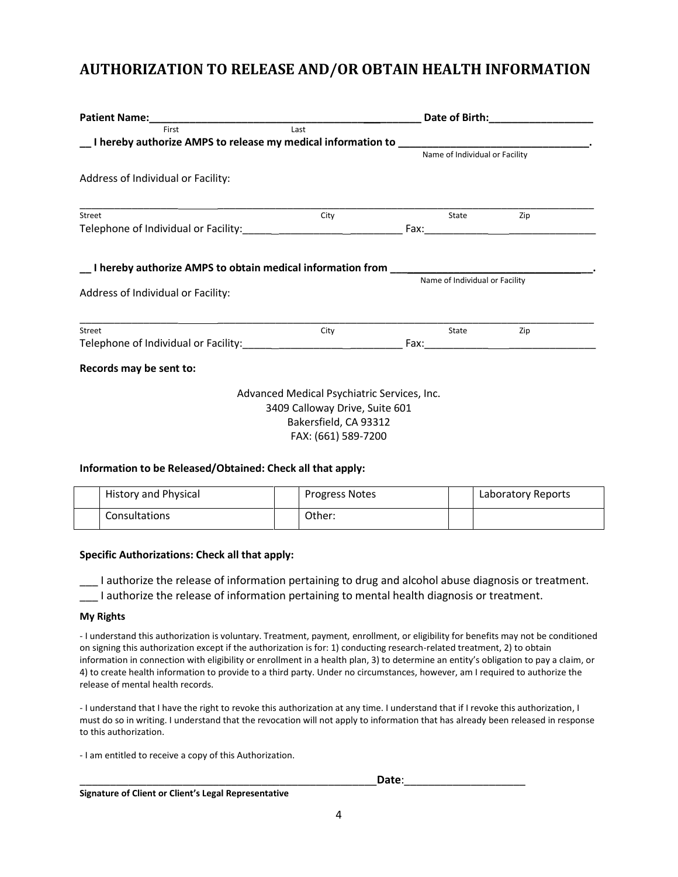## **AUTHORIZATION TO RELEASE AND/OR OBTAIN HEALTH INFORMATION**

|                                                                                                                                                                                                                                |      |                                | Date of Birth:____________________ |  |  |
|--------------------------------------------------------------------------------------------------------------------------------------------------------------------------------------------------------------------------------|------|--------------------------------|------------------------------------|--|--|
| Last<br>First<br>Later I hereby authorize AMPS to release my medical information to Later Later Later Later Later Later Later L                                                                                                |      |                                |                                    |  |  |
|                                                                                                                                                                                                                                |      | Name of Individual or Facility |                                    |  |  |
| Address of Individual or Facility:                                                                                                                                                                                             |      |                                |                                    |  |  |
| Street                                                                                                                                                                                                                         | City | State                          | Zip                                |  |  |
|                                                                                                                                                                                                                                |      |                                |                                    |  |  |
|                                                                                                                                                                                                                                |      | Name of Individual or Facility |                                    |  |  |
|                                                                                                                                                                                                                                |      |                                |                                    |  |  |
| ___I hereby authorize AMPS to obtain medical information from __________________<br>Address of Individual or Facility:<br>Street<br>Telephone of Individual or Facility: The Community of Telephone of Individual or Facility: | City | State                          | Zip                                |  |  |
| Records may be sent to:                                                                                                                                                                                                        |      |                                |                                    |  |  |

#### **Information to be Released/Obtained: Check all that apply:**

| <b>History and Physical</b> | <b>Progress Notes</b> | Laboratory Reports |
|-----------------------------|-----------------------|--------------------|
| Consultations               | Other:                |                    |

#### **Specific Authorizations: Check all that apply:**

\_\_\_ I authorize the release of information pertaining to drug and alcohol abuse diagnosis or treatment.

\_\_\_ I authorize the release of information pertaining to mental health diagnosis or treatment.

#### **My Rights**

- I understand this authorization is voluntary. Treatment, payment, enrollment, or eligibility for benefits may not be conditioned on signing this authorization except if the authorization is for: 1) conducting research-related treatment, 2) to obtain information in connection with eligibility or enrollment in a health plan, 3) to determine an entity's obligation to pay a claim, or 4) to create health information to provide to a third party. Under no circumstances, however, am I required to authorize the release of mental health records.

- I understand that I have the right to revoke this authorization at any time. I understand that if I revoke this authorization, I must do so in writing. I understand that the revocation will not apply to information that has already been released in response to this authorization.

- I am entitled to receive a copy of this Authorization.

\_\_\_\_\_\_\_\_\_\_\_\_\_\_\_\_\_\_\_\_\_\_\_\_\_\_\_\_\_\_\_\_\_\_\_\_\_\_\_\_\_\_\_\_\_\_\_\_\_**Date**:\_\_\_\_\_\_\_\_\_\_\_\_\_\_\_\_\_\_\_\_

**Signature of Client or Client's Legal Representative**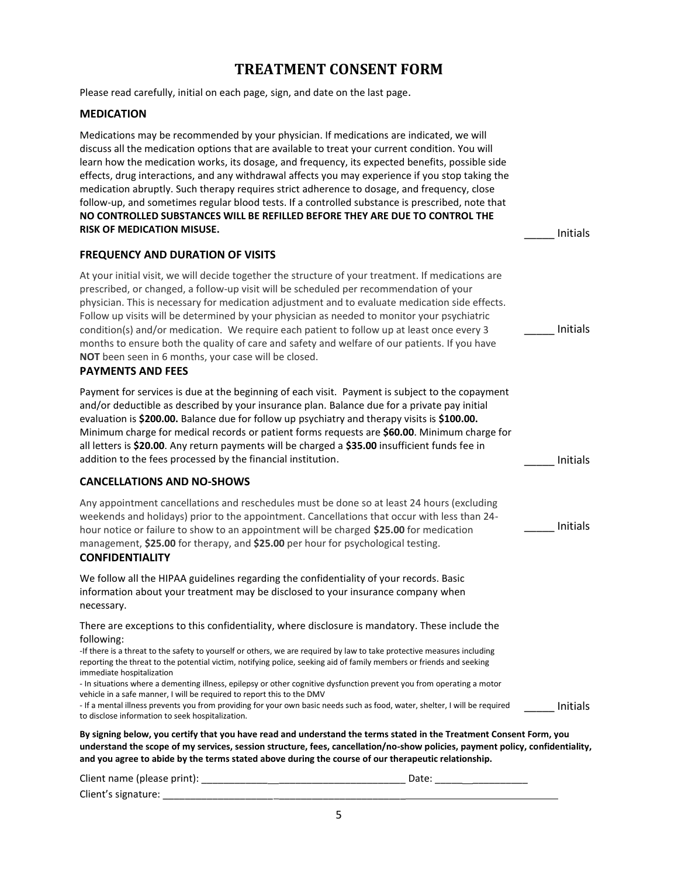## **TREATMENT CONSENT FORM**

Please read carefully, initial on each page, sign, and date on the last page.

#### **MEDICATION**

Medications may be recommended by your physician. If medications are indicated, we will discuss all the medication options that are available to treat your current condition. You will learn how the medication works, its dosage, and frequency, its expected benefits, possible side effects, drug interactions, and any withdrawal affects you may experience if you stop taking the medication abruptly. Such therapy requires strict adherence to dosage, and frequency, close follow-up, and sometimes regular blood tests. If a controlled substance is prescribed, note that **NO CONTROLLED SUBSTANCES WILL BE REFILLED BEFORE THEY ARE DUE TO CONTROL THE RISK OF MEDICATION MISUSE. Example 20 and 20 and 20 and 20 and 20 and 20 and 20 and 20 and 20 and 20 and 20 and 20 and 20 and 20 and 20 and 20 and 20 and 20 and 20 and 20 and 20 and 20 and 20 and 20 and 20 and 20 and 20** 

#### **FREQUENCY AND DURATION OF VISITS**

At your initial visit, we will decide together the structure of your treatment. If medications are prescribed, or changed, a follow-up visit will be scheduled per recommendation of your physician. This is necessary for medication adjustment and to evaluate medication side effects. Follow up visits will be determined by your physician as needed to monitor your psychiatric condition(s) and/or medication. We require each patient to follow up at least once every 3 months to ensure both the quality of care and safety and welfare of our patients. If you have **NOT** been seen in 6 months, your case will be closed.

\_\_\_\_\_ Initials

\_\_\_\_\_ Initials

#### **PAYMENTS AND FEES**

Payment for services is due at the beginning of each visit. Payment is subject to the copayment and/or deductible as described by your insurance plan. Balance due for a private pay initial evaluation is **\$200.00.** Balance due for follow up psychiatry and therapy visits is **\$100.00.**  Minimum charge for medical records or patient forms requests are **\$60.00**. Minimum charge for all letters is **\$20.00**. Any return payments will be charged a **\$35.00** insufficient funds fee in addition to the fees processed by the financial institution. The same state of the state of the linitials

#### **CANCELLATIONS AND NO-SHOWS**

Any appointment cancellations and reschedules must be done so at least 24 hours (excluding weekends and holidays) prior to the appointment. Cancellations that occur with less than 24 hour notice or failure to show to an appointment will be charged **\$25.00** for medication management, **\$25.00** for therapy, and **\$25.00** per hour for psychological testing.

#### **CONFIDENTIALITY**

We follow all the HIPAA guidelines regarding the confidentiality of your records. Basic information about your treatment may be disclosed to your insurance company when necessary.

There are exceptions to this confidentiality, where disclosure is mandatory. These include the following:

-If there is a threat to the safety to yourself or others, we are required by law to take protective measures including reporting the threat to the potential victim, notifying police, seeking aid of family members or friends and seeking immediate hospitalization

- In situations where a dementing illness, epilepsy or other cognitive dysfunction prevent you from operating a motor vehicle in a safe manner, I will be required to report this to the DMV

- If a mental illness prevents you from providing for your own basic needs such as food, water, shelter, I will be required to disclose information to seek hospitalization. \_\_\_\_\_ Initials

**By signing below, you certify that you have read and understand the terms stated in the Treatment Consent Form, you understand the scope of my services, session structure, fees, cancellation/no-show policies, payment policy, confidentiality, and you agree to abide by the terms stated above during the course of our therapeutic relationship.** 

| Client name (please print): | Date: |
|-----------------------------|-------|
| Client's signature:         |       |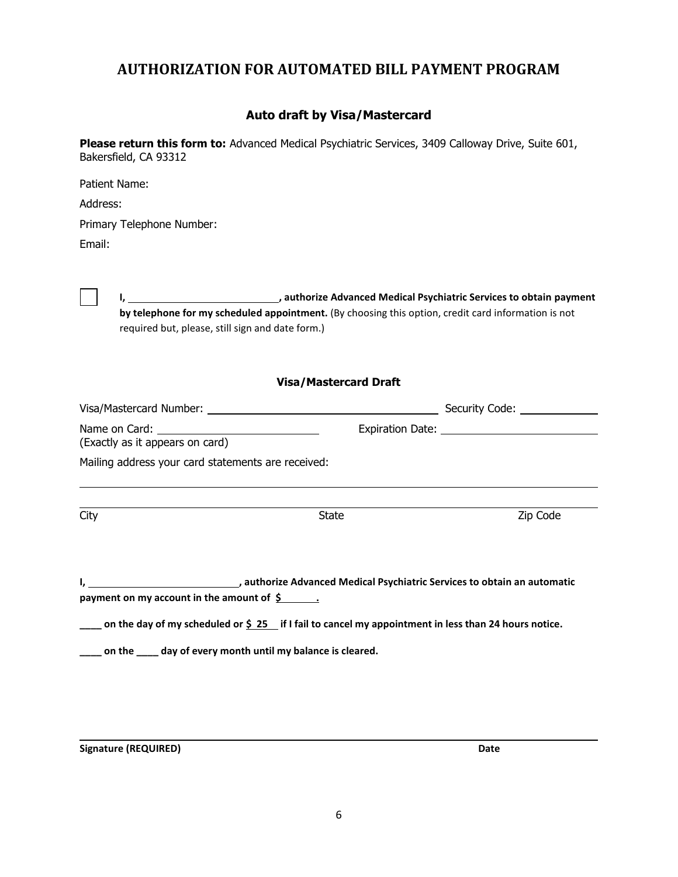## **AUTHORIZATION FOR AUTOMATED BILL PAYMENT PROGRAM**

### **Auto draft by Visa/Mastercard**

**Please return this form to:** Advanced Medical Psychiatric Services, 3409 Calloway Drive, Suite 601, Bakersfield, CA 93312

| Patient Name:                                                                                                                                                                                                                  |                                                                                                               |          |
|--------------------------------------------------------------------------------------------------------------------------------------------------------------------------------------------------------------------------------|---------------------------------------------------------------------------------------------------------------|----------|
| Address:                                                                                                                                                                                                                       |                                                                                                               |          |
| Primary Telephone Number:                                                                                                                                                                                                      |                                                                                                               |          |
| Email:                                                                                                                                                                                                                         |                                                                                                               |          |
|                                                                                                                                                                                                                                |                                                                                                               |          |
|                                                                                                                                                                                                                                | I, 1. 2008 authorize Advanced Medical Psychiatric Services to obtain payment                                  |          |
|                                                                                                                                                                                                                                | by telephone for my scheduled appointment. (By choosing this option, credit card information is not           |          |
| required but, please, still sign and date form.)                                                                                                                                                                               |                                                                                                               |          |
|                                                                                                                                                                                                                                |                                                                                                               |          |
|                                                                                                                                                                                                                                |                                                                                                               |          |
|                                                                                                                                                                                                                                | <b>Visa/Mastercard Draft</b>                                                                                  |          |
|                                                                                                                                                                                                                                |                                                                                                               |          |
| Name on Card: University of Card Control of Card Control Control Control Control Control Control Control Control Control Control Control Control Control Control Control Control Control Control Control Control Control Contr |                                                                                                               |          |
| (Exactly as it appears on card)                                                                                                                                                                                                |                                                                                                               |          |
| Mailing address your card statements are received:                                                                                                                                                                             |                                                                                                               |          |
|                                                                                                                                                                                                                                |                                                                                                               |          |
| City                                                                                                                                                                                                                           | <b>State</b>                                                                                                  | Zip Code |
|                                                                                                                                                                                                                                |                                                                                                               |          |
|                                                                                                                                                                                                                                |                                                                                                               |          |
|                                                                                                                                                                                                                                |                                                                                                               |          |
|                                                                                                                                                                                                                                | I, __________________________________, authorize Advanced Medical Psychiatric Services to obtain an automatic |          |
| payment on my account in the amount of $\frac{2}{5}$ .                                                                                                                                                                         |                                                                                                               |          |
|                                                                                                                                                                                                                                | on the day of my scheduled or \$ 25 if I fail to cancel my appointment in less than 24 hours notice.          |          |
| ___ on the ____ day of every month until my balance is cleared.                                                                                                                                                                |                                                                                                               |          |
|                                                                                                                                                                                                                                |                                                                                                               |          |

**Signature (REQUIRED)** Date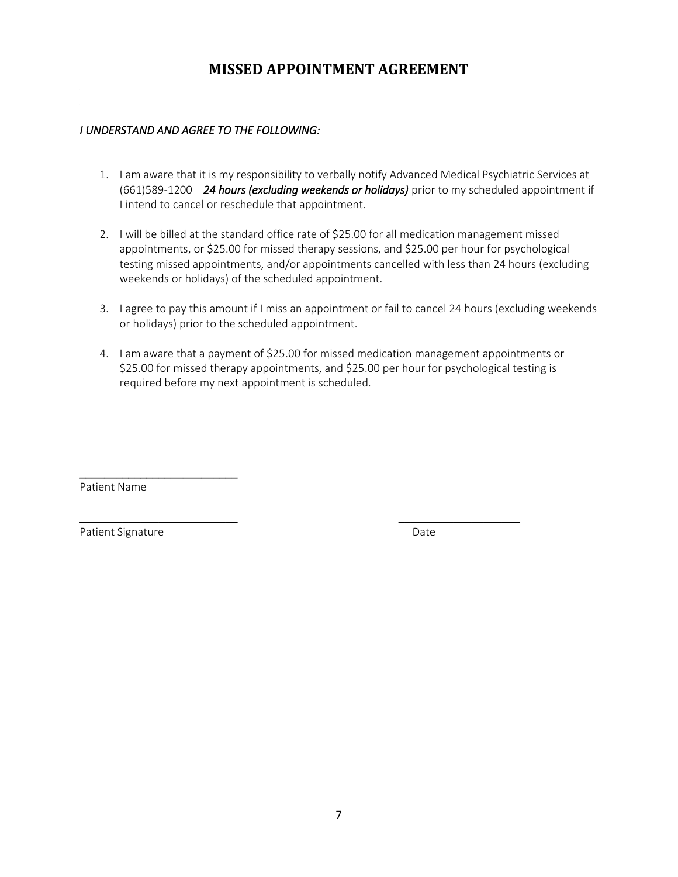## **MISSED APPOINTMENT AGREEMENT**

#### *I UNDERSTAND AND AGREE TO THE FOLLOWING:*

- 1. I am aware that it is my responsibility to verbally notify Advanced Medical Psychiatric Services at (661)589-1200 *24 hours (excluding weekends or holidays)* prior to my scheduled appointment if I intend to cancel or reschedule that appointment.
- 2. I will be billed at the standard office rate of \$25.00 for all medication management missed appointments, or \$25.00 for missed therapy sessions, and \$25.00 per hour for psychological testing missed appointments, and/or appointments cancelled with less than 24 hours (excluding weekends or holidays) of the scheduled appointment.
- 3. I agree to pay this amount if I miss an appointment or fail to cancel 24 hours (excluding weekends or holidays) prior to the scheduled appointment.
- 4. I am aware that a payment of \$25.00 for missed medication management appointments or \$25.00 for missed therapy appointments, and \$25.00 per hour for psychological testing is required before my next appointment is scheduled.

 $\overline{\phantom{a}}$  , and the contract of the contract of the contract of the contract of the contract of the contract of the contract of the contract of the contract of the contract of the contract of the contract of the contrac

Patient Name

\_\_\_\_\_\_\_\_\_\_\_\_\_\_\_\_\_\_\_\_\_\_\_\_\_\_

Patient Signature Date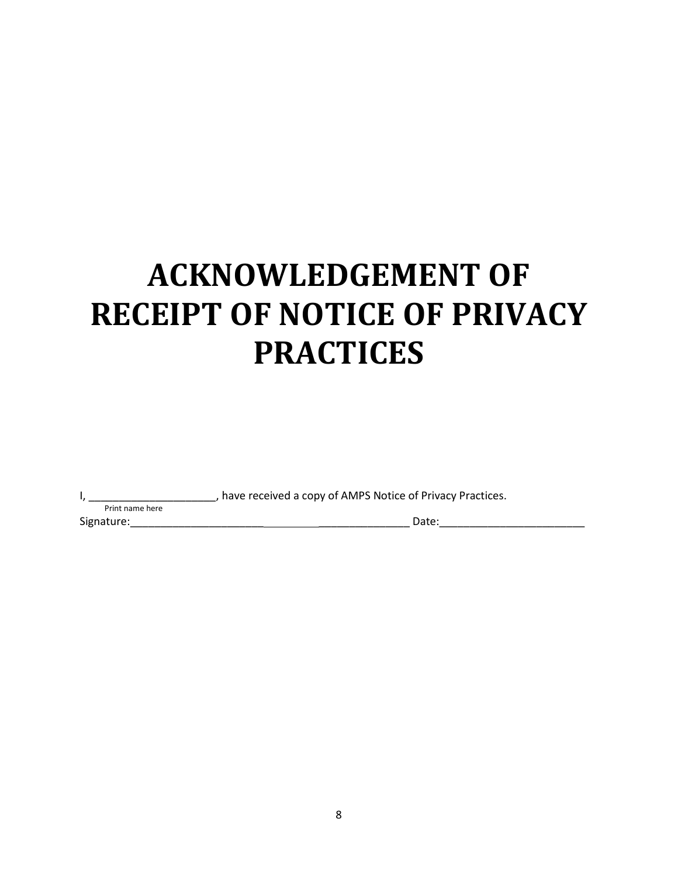# **ACKNOWLEDGEMENT OF RECEIPT OF NOTICE OF PRIVACY PRACTICES**

I, \_\_\_\_\_\_\_\_\_\_\_\_\_\_\_\_\_\_\_\_\_\_\_\_, have received a copy of AMPS Notice of Privacy Practices.

Print name here Signature:\_\_\_\_\_\_\_\_\_\_\_\_\_\_\_\_\_\_\_\_\_\_ \_\_\_\_\_\_\_\_\_\_\_\_\_\_\_ Date:\_\_\_\_\_\_\_\_\_\_\_\_\_\_\_\_\_\_\_\_\_\_\_\_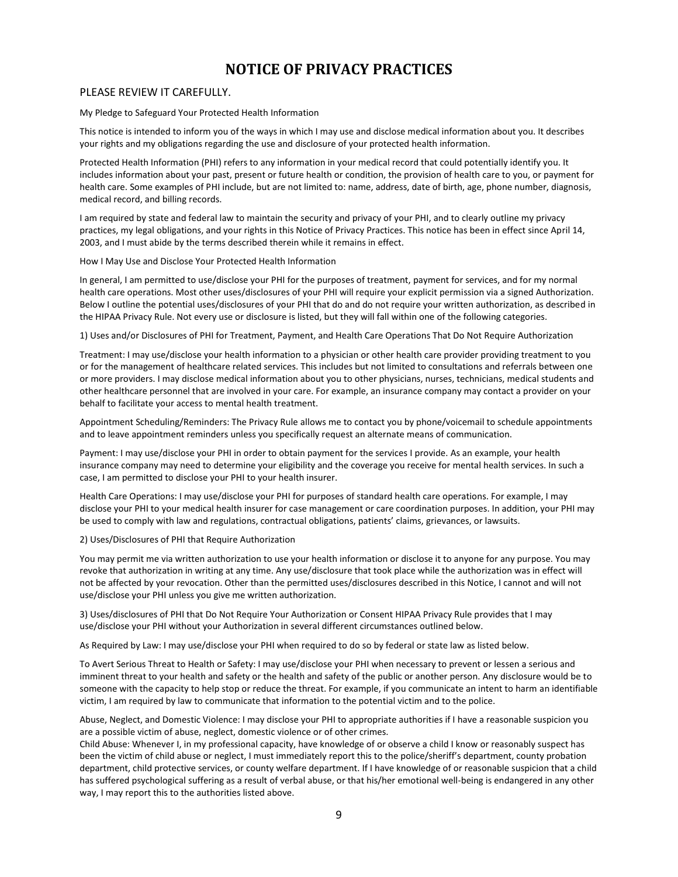## **NOTICE OF PRIVACY PRACTICES**

#### PLEASE REVIEW IT CAREFULLY.

My Pledge to Safeguard Your Protected Health Information

This notice is intended to inform you of the ways in which I may use and disclose medical information about you. It describes your rights and my obligations regarding the use and disclosure of your protected health information.

Protected Health Information (PHI) refers to any information in your medical record that could potentially identify you. It includes information about your past, present or future health or condition, the provision of health care to you, or payment for health care. Some examples of PHI include, but are not limited to: name, address, date of birth, age, phone number, diagnosis, medical record, and billing records.

I am required by state and federal law to maintain the security and privacy of your PHI, and to clearly outline my privacy practices, my legal obligations, and your rights in this Notice of Privacy Practices. This notice has been in effect since April 14, 2003, and I must abide by the terms described therein while it remains in effect.

How I May Use and Disclose Your Protected Health Information

In general, I am permitted to use/disclose your PHI for the purposes of treatment, payment for services, and for my normal health care operations. Most other uses/disclosures of your PHI will require your explicit permission via a signed Authorization. Below I outline the potential uses/disclosures of your PHI that do and do not require your written authorization, as described in the HIPAA Privacy Rule. Not every use or disclosure is listed, but they will fall within one of the following categories.

1) Uses and/or Disclosures of PHI for Treatment, Payment, and Health Care Operations That Do Not Require Authorization

Treatment: I may use/disclose your health information to a physician or other health care provider providing treatment to you or for the management of healthcare related services. This includes but not limited to consultations and referrals between one or more providers. I may disclose medical information about you to other physicians, nurses, technicians, medical students and other healthcare personnel that are involved in your care. For example, an insurance company may contact a provider on your behalf to facilitate your access to mental health treatment.

Appointment Scheduling/Reminders: The Privacy Rule allows me to contact you by phone/voicemail to schedule appointments and to leave appointment reminders unless you specifically request an alternate means of communication.

Payment: I may use/disclose your PHI in order to obtain payment for the services I provide. As an example, your health insurance company may need to determine your eligibility and the coverage you receive for mental health services. In such a case, I am permitted to disclose your PHI to your health insurer.

Health Care Operations: I may use/disclose your PHI for purposes of standard health care operations. For example, I may disclose your PHI to your medical health insurer for case management or care coordination purposes. In addition, your PHI may be used to comply with law and regulations, contractual obligations, patients' claims, grievances, or lawsuits.

2) Uses/Disclosures of PHI that Require Authorization

You may permit me via written authorization to use your health information or disclose it to anyone for any purpose. You may revoke that authorization in writing at any time. Any use/disclosure that took place while the authorization was in effect will not be affected by your revocation. Other than the permitted uses/disclosures described in this Notice, I cannot and will not use/disclose your PHI unless you give me written authorization.

3) Uses/disclosures of PHI that Do Not Require Your Authorization or Consent HIPAA Privacy Rule provides that I may use/disclose your PHI without your Authorization in several different circumstances outlined below.

As Required by Law: I may use/disclose your PHI when required to do so by federal or state law as listed below.

To Avert Serious Threat to Health or Safety: I may use/disclose your PHI when necessary to prevent or lessen a serious and imminent threat to your health and safety or the health and safety of the public or another person. Any disclosure would be to someone with the capacity to help stop or reduce the threat. For example, if you communicate an intent to harm an identifiable victim, I am required by law to communicate that information to the potential victim and to the police.

Abuse, Neglect, and Domestic Violence: I may disclose your PHI to appropriate authorities if I have a reasonable suspicion you are a possible victim of abuse, neglect, domestic violence or of other crimes.

Child Abuse: Whenever I, in my professional capacity, have knowledge of or observe a child I know or reasonably suspect has been the victim of child abuse or neglect, I must immediately report this to the police/sheriff's department, county probation department, child protective services, or county welfare department. If I have knowledge of or reasonable suspicion that a child has suffered psychological suffering as a result of verbal abuse, or that his/her emotional well-being is endangered in any other way, I may report this to the authorities listed above.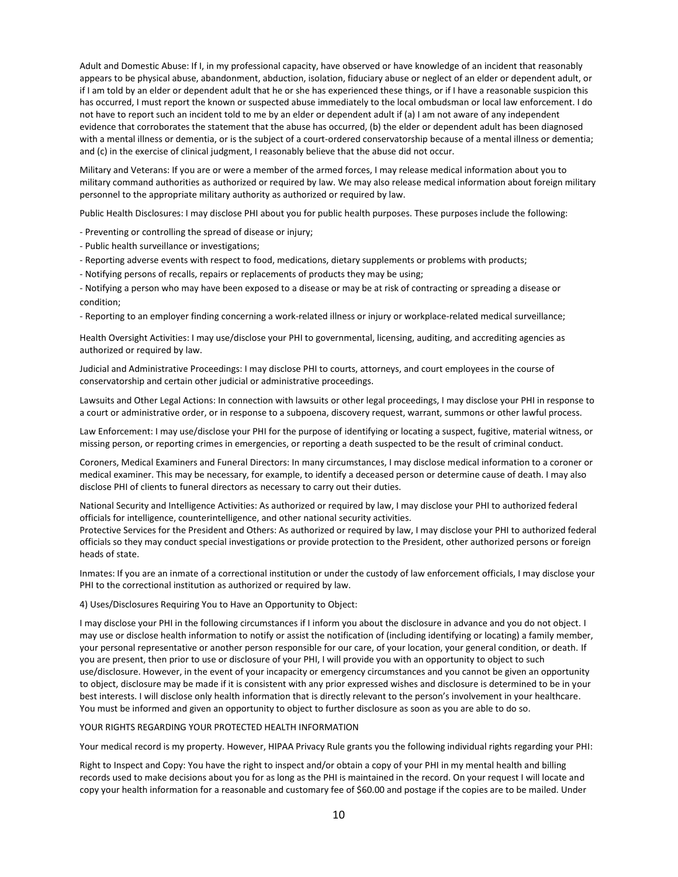Adult and Domestic Abuse: If I, in my professional capacity, have observed or have knowledge of an incident that reasonably appears to be physical abuse, abandonment, abduction, isolation, fiduciary abuse or neglect of an elder or dependent adult, or if I am told by an elder or dependent adult that he or she has experienced these things, or if I have a reasonable suspicion this has occurred, I must report the known or suspected abuse immediately to the local ombudsman or local law enforcement. I do not have to report such an incident told to me by an elder or dependent adult if (a) I am not aware of any independent evidence that corroborates the statement that the abuse has occurred, (b) the elder or dependent adult has been diagnosed with a mental illness or dementia, or is the subject of a court-ordered conservatorship because of a mental illness or dementia; and (c) in the exercise of clinical judgment, I reasonably believe that the abuse did not occur.

Military and Veterans: If you are or were a member of the armed forces, I may release medical information about you to military command authorities as authorized or required by law. We may also release medical information about foreign military personnel to the appropriate military authority as authorized or required by law.

Public Health Disclosures: I may disclose PHI about you for public health purposes. These purposes include the following:

- Preventing or controlling the spread of disease or injury;
- Public health surveillance or investigations;
- Reporting adverse events with respect to food, medications, dietary supplements or problems with products;
- Notifying persons of recalls, repairs or replacements of products they may be using;

- Notifying a person who may have been exposed to a disease or may be at risk of contracting or spreading a disease or condition;

- Reporting to an employer finding concerning a work-related illness or injury or workplace-related medical surveillance;

Health Oversight Activities: I may use/disclose your PHI to governmental, licensing, auditing, and accrediting agencies as authorized or required by law.

Judicial and Administrative Proceedings: I may disclose PHI to courts, attorneys, and court employees in the course of conservatorship and certain other judicial or administrative proceedings.

Lawsuits and Other Legal Actions: In connection with lawsuits or other legal proceedings, I may disclose your PHI in response to a court or administrative order, or in response to a subpoena, discovery request, warrant, summons or other lawful process.

Law Enforcement: I may use/disclose your PHI for the purpose of identifying or locating a suspect, fugitive, material witness, or missing person, or reporting crimes in emergencies, or reporting a death suspected to be the result of criminal conduct.

Coroners, Medical Examiners and Funeral Directors: In many circumstances, I may disclose medical information to a coroner or medical examiner. This may be necessary, for example, to identify a deceased person or determine cause of death. I may also disclose PHI of clients to funeral directors as necessary to carry out their duties.

National Security and Intelligence Activities: As authorized or required by law, I may disclose your PHI to authorized federal officials for intelligence, counterintelligence, and other national security activities.

Protective Services for the President and Others: As authorized or required by law, I may disclose your PHI to authorized federal officials so they may conduct special investigations or provide protection to the President, other authorized persons or foreign heads of state.

Inmates: If you are an inmate of a correctional institution or under the custody of law enforcement officials, I may disclose your PHI to the correctional institution as authorized or required by law.

4) Uses/Disclosures Requiring You to Have an Opportunity to Object:

I may disclose your PHI in the following circumstances if I inform you about the disclosure in advance and you do not object. I may use or disclose health information to notify or assist the notification of (including identifying or locating) a family member, your personal representative or another person responsible for our care, of your location, your general condition, or death. If you are present, then prior to use or disclosure of your PHI, I will provide you with an opportunity to object to such use/disclosure. However, in the event of your incapacity or emergency circumstances and you cannot be given an opportunity to object, disclosure may be made if it is consistent with any prior expressed wishes and disclosure is determined to be in your best interests. I will disclose only health information that is directly relevant to the person's involvement in your healthcare. You must be informed and given an opportunity to object to further disclosure as soon as you are able to do so.

#### YOUR RIGHTS REGARDING YOUR PROTECTED HEALTH INFORMATION

Your medical record is my property. However, HIPAA Privacy Rule grants you the following individual rights regarding your PHI:

Right to Inspect and Copy: You have the right to inspect and/or obtain a copy of your PHI in my mental health and billing records used to make decisions about you for as long as the PHI is maintained in the record. On your request I will locate and copy your health information for a reasonable and customary fee of \$60.00 and postage if the copies are to be mailed. Under